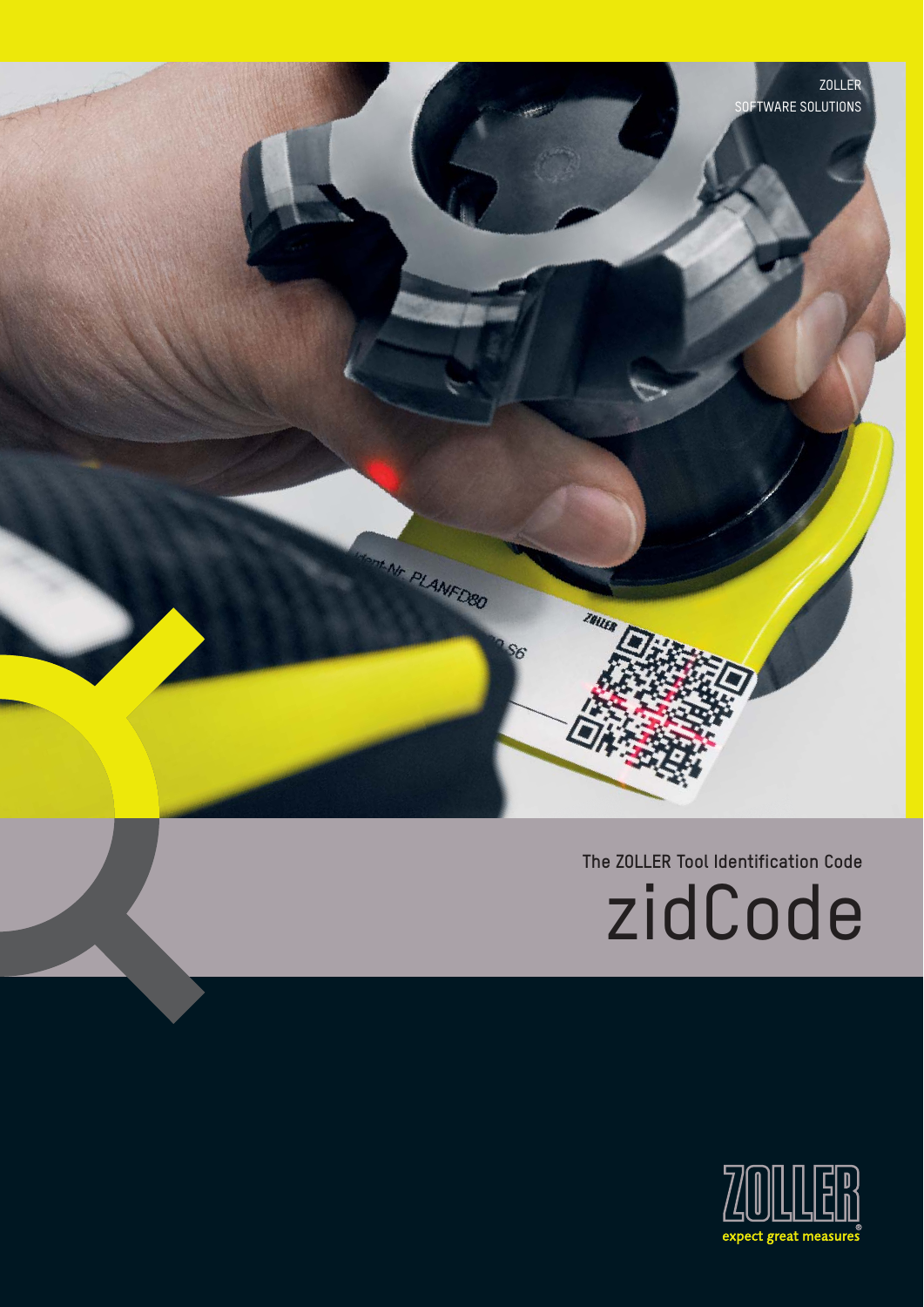

# **The ZOLLER Tool Identification Code** zidCode

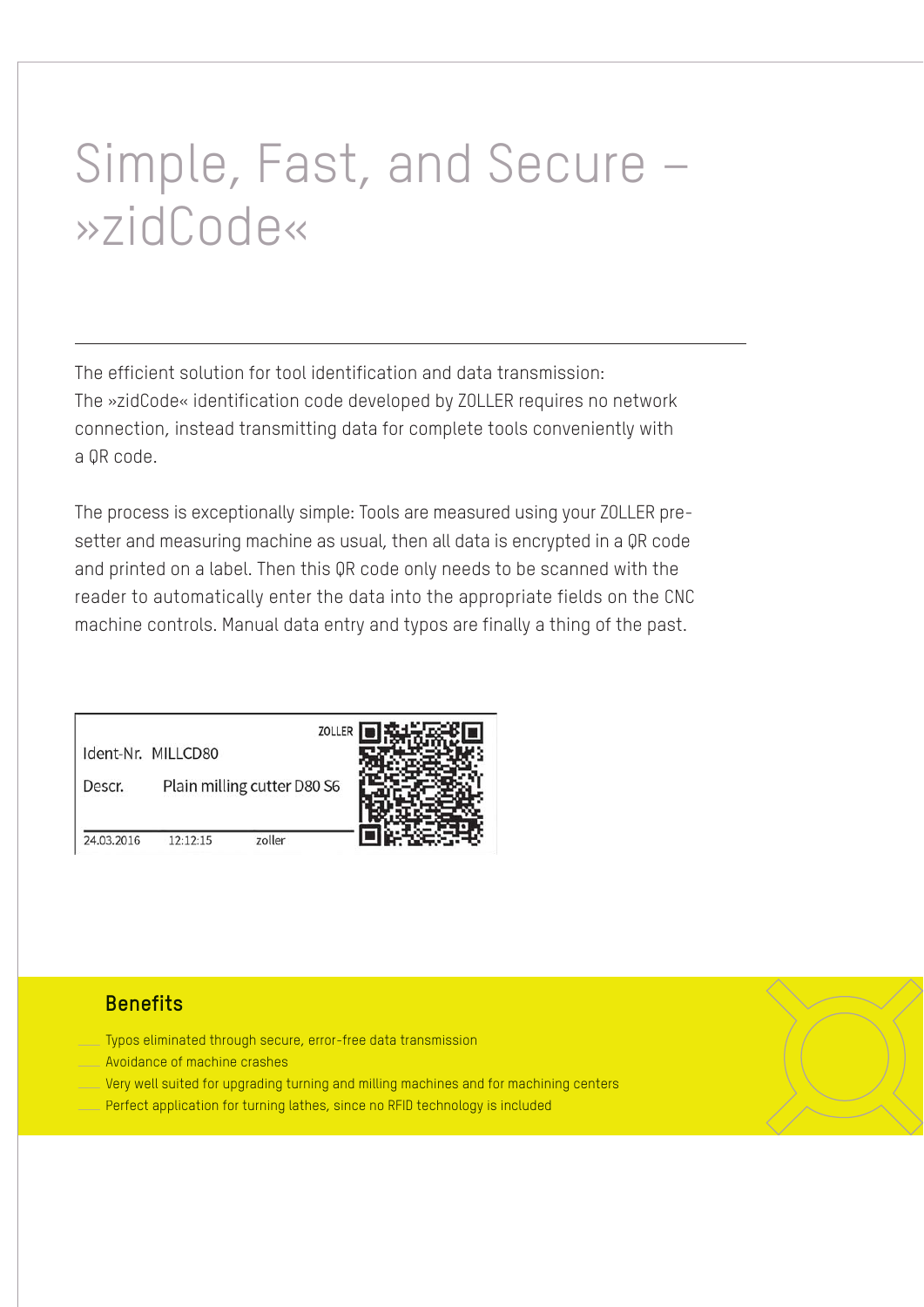# Simple, Fast, and Secure – »zidCode«

The efficient solution for tool identification and data transmission: The »zidCode« identification code developed by ZOLLER requires no network connection, instead transmitting data for complete tools conveniently with a QR code.

The process is exceptionally simple: Tools are measured using your ZOLLER presetter and measuring machine as usual, then all data is encrypted in a QR code and printed on a label. Then this QR code only needs to be scanned with the reader to automatically enter the data into the appropriate fields on the CNC machine controls. Manual data entry and typos are finally a thing of the past.

Ident-Nr. MILLCD80

Descr. Plain milling cutter D80 S6



24.03.2016  $12:12:15$ zoller

### **Benefits**

- Typos eliminated through secure, error-free data transmission
- $\frac{1}{\sqrt{2}}$ Avoidance of machine crashes
- $\frac{1}{\sqrt{2}}$ Very well suited for upgrading turning and milling machines and for machining centers — Perfect application for turning lathes, since no RFID technology is included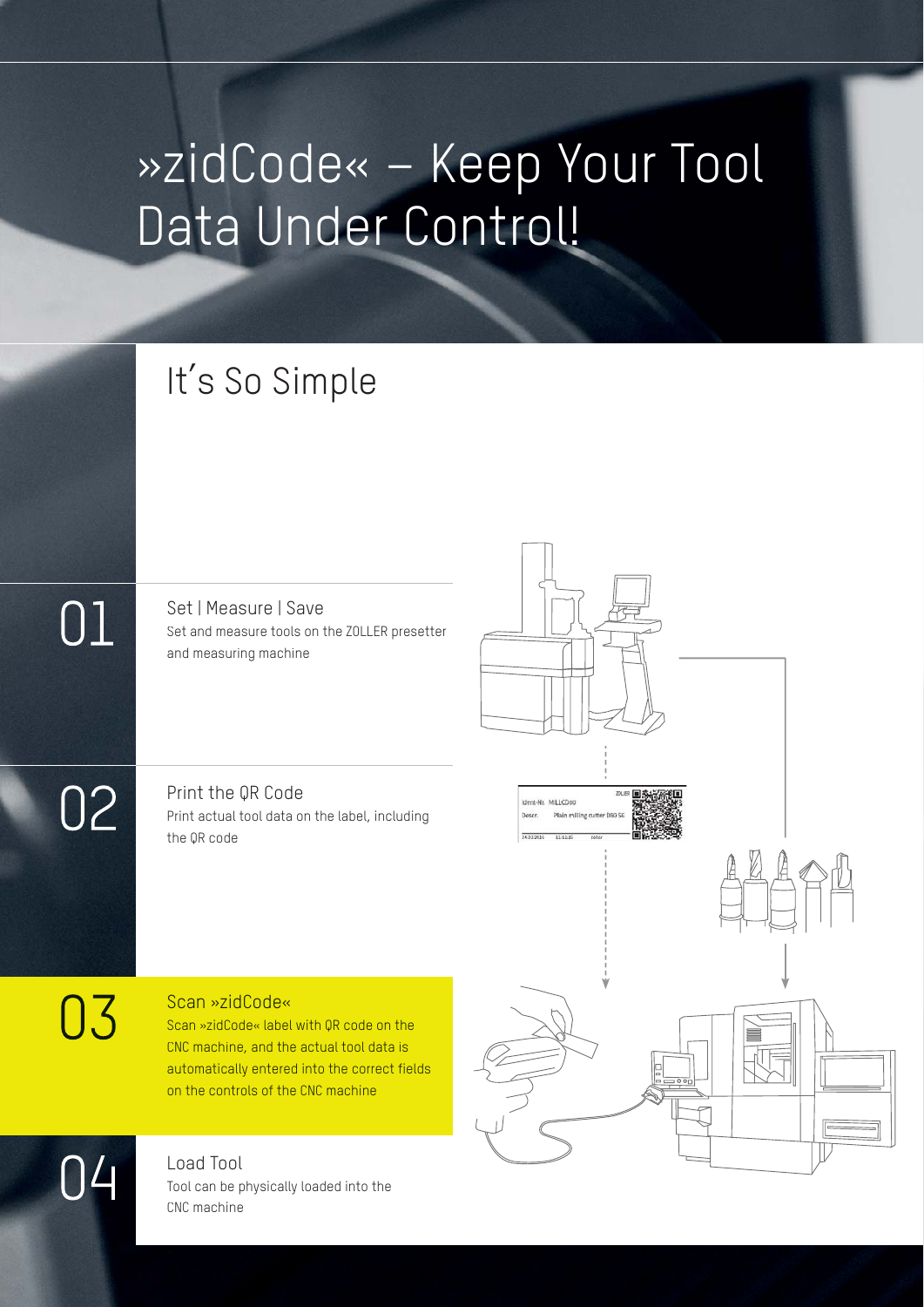# »zidCode« – Keep Your Tool Data Under Control!

# It's So Simple

 $01\,$ 

02

Set | Measure | Save Set and measure tools on the ZOLLER presetter and measuring machine

Print the QR Code Print actual tool data on the label, including the QR code

03

### Scan »zidCode«

Scan »zidCode« label with QR code on the CNC machine, and the actual tool data is automatically entered into the correct fields on the controls of the CNC machine

Load Tool Tool can be physically loaded into the CNC machine



04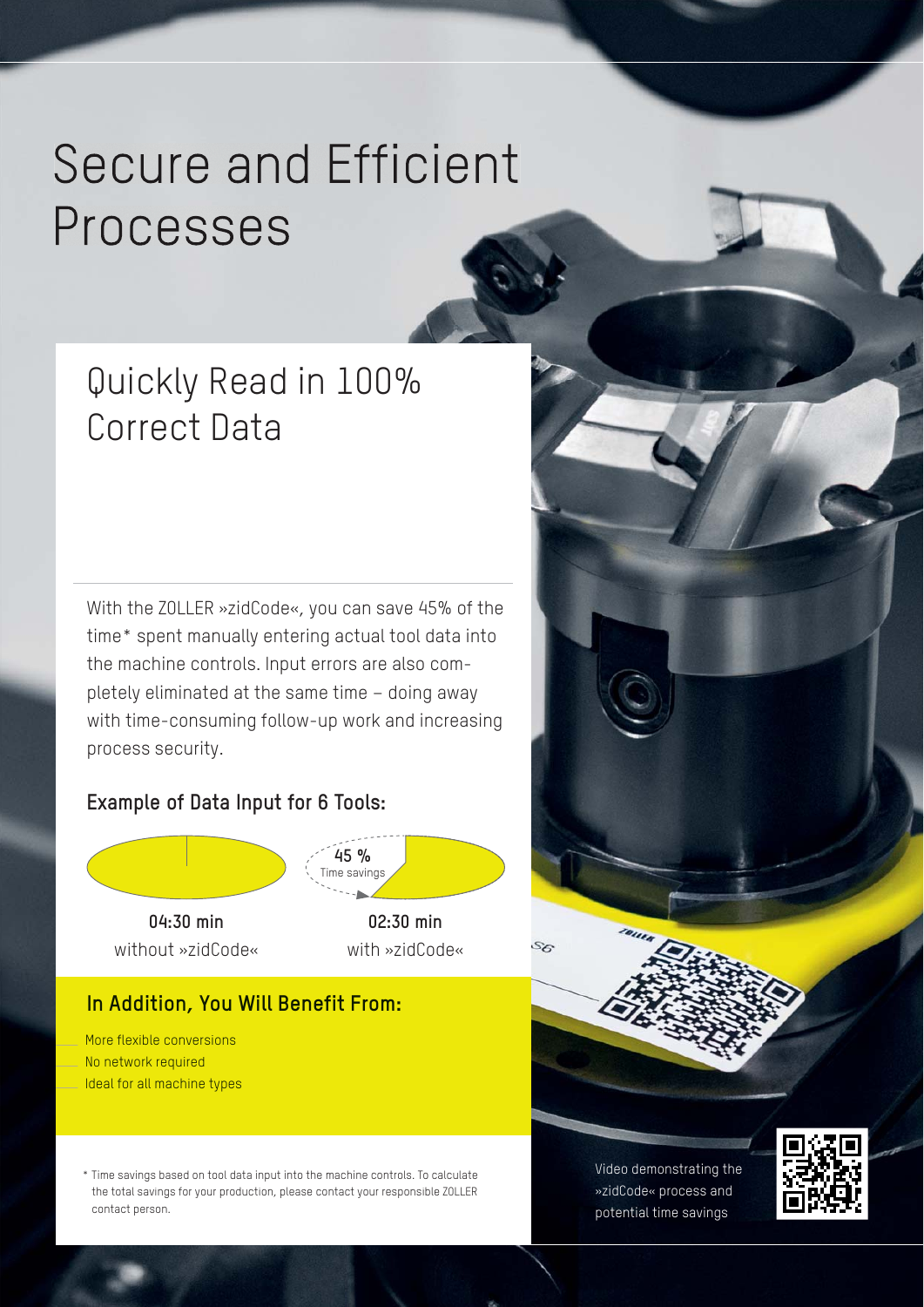# **Secure and Efficient** Processes

## Quickly Read in 100% Correct Data

With the ZOLLER »zidCode«, you can save 45% of the time\* spent manually entering actual tool data into the machine controls. Input errors are also completely eliminated at the same time – doing away with time-consuming follow-up work and increasing process security.

### **Example of Data Input for 6 Tools:**



without »zidCode«

**45 %** Time savings **02:30 min**

S6

with »zidCode«

### **In Addition, You Will Benefit From:**

— More flexible conversions  $\frac{1}{\sqrt{2}}$  No network required  $\frac{1}{\sqrt{2}}$ Ideal for all machine types

> \* Time savings based on tool data input into the machine controls. To calculate the total savings for your production, please contact your responsible ZOLLER contact person.

Video demonstrating the »zidCode« process and potential time savings

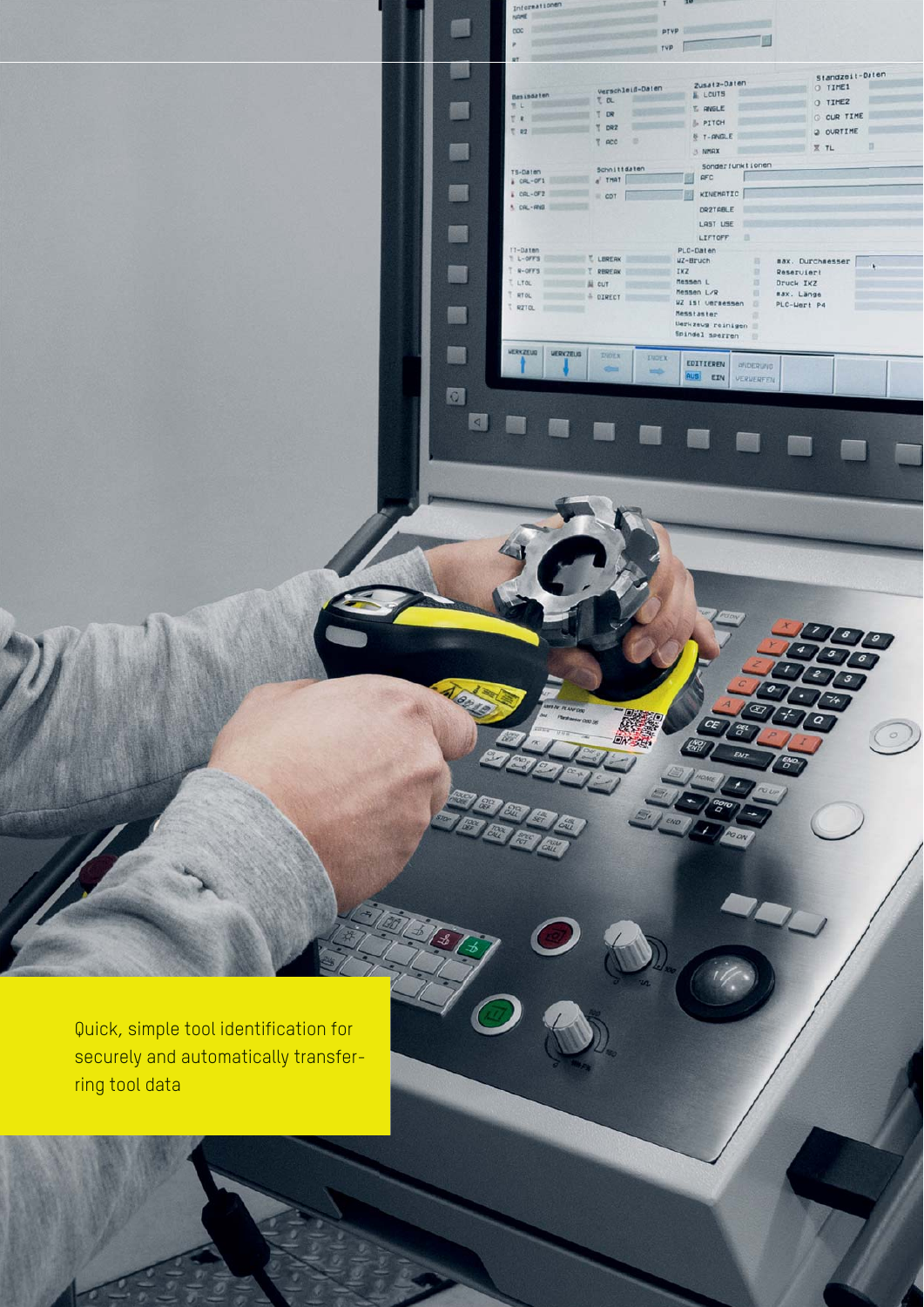Quick, simple tool identification for securely and automatically transferring tool data

ratornati

 $1.09 - 990$ 

**MERKZEUG** 

VERKZEUG

 $n^{n}$ 

瓢

飅

颐

爾

a)

删

酾

囫

 $\sqrt{2}$ 

. .

 $\begin{array}{ccccccccc} \texttt{Insisation} & & & & & & & & \texttt{Standard}+Data \texttt{F} \\ \texttt{Insisation} & & & & & & & & \texttt{D} & \texttt{S} & \texttt{Standard}+Data \texttt{F} \\ \texttt{The} & & & & & & & \texttt{D} & \texttt{S} & \texttt{M} & \texttt{S} & \texttt{M} & \texttt{S} & \texttt{S} & \texttt{R} & \texttt{S} & \texttt{S} & \texttt{S} & \texttt{S} & \texttt{S} & \texttt{S} & \texttt{S} & \texttt{S} & \texttt{S} & \texttt{S$ 

TRE TOR ERVOLE<br>TRE TOR & PITCH<br>TRE TORE & T-GVOLE 2 OVETIME

A PITCH<br>
A T-ANGLE<br>
B T-ANGLE<br>
C OVRTIME

sax. Durchwesser

Reserviert Druck IKZ max. Länge PLC-Wert P4  $\alpha$ 

 $\circ$ 

 $\begin{array}{c}\n\mathbf{X} & \mathbf{I} = \mathbf{H}\mathbf{V} \mathbf{H} \mathbf{X} \\
\mathbf{X} & \mathbf{I} \mathbf{H} \mathbf{I} \mathbf{I}\n\end{array}$ 

Sonderfunktionen

DRZTABLE LAST USE

 $\begin{tabular}{|c|c|c|c|} \hline \texttt{LIFTOFF} & \texttt{||} \end{tabular}$ 

Messtaster<br>Messtaster<br>Spindel sperren

EDITIEREN

**AUS** EIN

**ANDERLING** 

VERVERFEN

 $T$  acc  $\Box$ 

19-Daten schnittsaten Sonderfunktionen<br>≵ CRL-071 ∉ That a der mannerfunktionen COL-OF2

(1710)<br>T-Daten (LERERK PLC-Daten<br>T +-OFFS T RERERK WZ-Bruch II<br>T +-OFFS T RERERK IXZ<br>T kTo, a Bi curr Messen L/R<br>T RTO, 4 DIRECT WZ IST-URT RESSAURED T RTO,

**INDEX** 

**THOFA** 

النازل

 $\begin{array}{|c|c|c|c|c|}\n\hline\n\text{PP} & \text{PP} & \text{PP} \\
\hline\n\text{PP} & \text{PP} & \text{PP} & \text{PP} \\
\hline\n\end{array}$